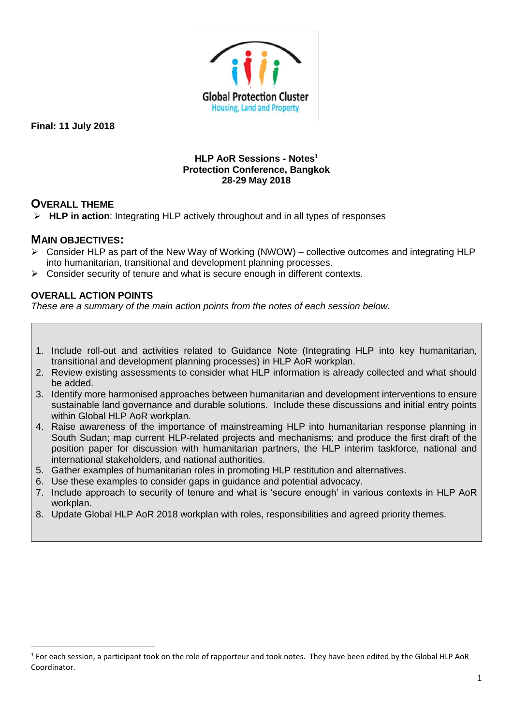

### **HLP AoR Sessions - Notes<sup>1</sup> Protection Conference, Bangkok 28-29 May 2018**

# **OVERALL THEME**

➢ **HLP in action**: Integrating HLP actively throughout and in all types of responses

## **MAIN OBJECTIVES:**

**.** 

- ➢ Consider HLP as part of the New Way of Working (NWOW) collective outcomes and integrating HLP into humanitarian, transitional and development planning processes.
- $\triangleright$  Consider security of tenure and what is secure enough in different contexts.

## **OVERALL ACTION POINTS**

*These are a summary of the main action points from the notes of each session below.*

- 1. [Include roll-out and activities related to Guidance Note \(Integrating HLP into key humanitarian,](#page-3-0)  [transitional and development planning processes\)](#page-3-0) in HLP AoR workplan.
- 2. [Review existing assessments to consider what HLP information is already collected and what should](#page-3-1)  [be added.](#page-3-1)
- 3. Identify [more harmonised approaches between humanitarian and development interventions to ensure](#page-4-0)  [sustainable land governance and durable solutions. Include these discussions and initial entry points](#page-4-0)  [within Global HLP AoR workplan.](#page-4-0)
- 4. Raise [awareness of the importance of mainstreaming HLP into humanitarian response planning in](#page-5-0)  [South Sudan; map current HLP-related projects and mechanisms; and produce the first draft of the](#page-5-0)  position [paper for discussion with humanitarian partners, the HLP interim taskforce, national and](#page-5-0)  [international stakeholders, and national authorities.](#page-5-0)
- 5. Gather examples of humanitarian roles [in promoting HLP restitution and alternatives.](#page-6-0)
- 6. [Use these examples to consider gaps in guidance](#page-6-1) and potential advocacy.
- 7. [Include approach to security of tenure and what is 'secure enough' in various contexts in HLP AoR](#page-7-0)  [workplan.](#page-7-0)
- 8. [Update Global HLP AoR 2018 workplan with roles, responsibilities and agreed priority themes.](#page-12-0)

 $1$  For each session, a participant took on the role of rapporteur and took notes. They have been edited by the Global HLP AoR Coordinator.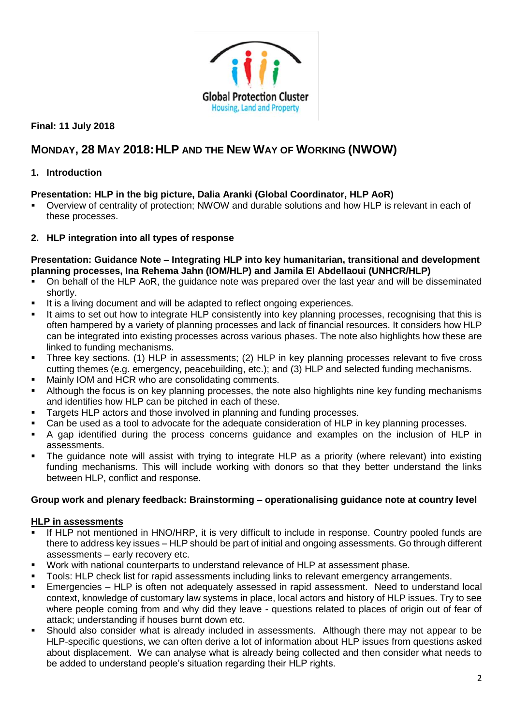

# **MONDAY, 28 MAY 2018:HLP AND THE NEW WAY OF WORKING (NWOW)**

# **1. Introduction**

# **Presentation: HLP in the big picture, Dalia Aranki (Global Coordinator, HLP AoR)**

- Overview of centrality of protection; NWOW and durable solutions and how HLP is relevant in each of these processes.
- **2. HLP integration into all types of response**

### **Presentation: Guidance Note – Integrating HLP into key humanitarian, transitional and development planning processes, Ina Rehema Jahn (IOM/HLP) and Jamila El Abdellaoui (UNHCR/HLP)**

- On behalf of the HLP AoR, the guidance note was prepared over the last year and will be disseminated shortly.
- It is a living document and will be adapted to reflect ongoing experiences.
- It aims to set out how to integrate HLP consistently into key planning processes, recognising that this is often hampered by a variety of planning processes and lack of financial resources. It considers how HLP can be integrated into existing processes across various phases. The note also highlights how these are linked to funding mechanisms.
- Three key sections. (1) HLP in assessments; (2) HLP in key planning processes relevant to five cross cutting themes (e.g. emergency, peacebuilding, etc.); and (3) HLP and selected funding mechanisms.
- Mainly IOM and HCR who are consolidating comments.
- Although the focus is on key planning processes, the note also highlights nine key funding mechanisms and identifies how HLP can be pitched in each of these.
- Targets HLP actors and those involved in planning and funding processes.
- Can be used as a tool to advocate for the adequate consideration of HLP in key planning processes.
- A gap identified during the process concerns guidance and examples on the inclusion of HLP in assessments.
- The guidance note will assist with trying to integrate HLP as a priority (where relevant) into existing funding mechanisms. This will include working with donors so that they better understand the links between HLP, conflict and response.

## **Group work and plenary feedback: Brainstorming – operationalising guidance note at country level**

### **HLP in assessments**

- If HLP not mentioned in HNO/HRP, it is very difficult to include in response. Country pooled funds are there to address key issues – HLP should be part of initial and ongoing assessments. Go through different assessments – early recovery etc.
- Work with national counterparts to understand relevance of HLP at assessment phase.
- Tools: HLP check list for rapid assessments including links to relevant emergency arrangements.
- Emergencies HLP is often not adequately assessed in rapid assessment. Need to understand local context, knowledge of customary law systems in place, local actors and history of HLP issues. Try to see where people coming from and why did they leave - questions related to places of origin out of fear of attack; understanding if houses burnt down etc.
- Should also consider what is already included in assessments. Although there may not appear to be HLP-specific questions, we can often derive a lot of information about HLP issues from questions asked about displacement. We can analyse what is already being collected and then consider what needs to be added to understand people's situation regarding their HLP rights.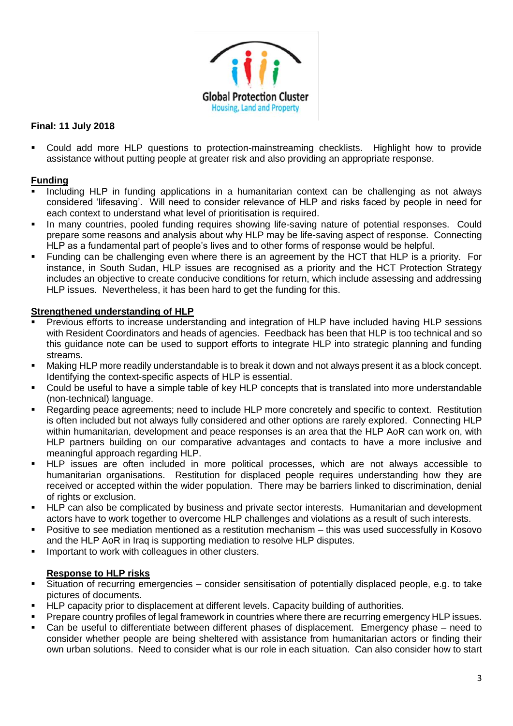

Could add more HLP questions to protection-mainstreaming checklists. Highlight how to provide assistance without putting people at greater risk and also providing an appropriate response.

### **Funding**

- Including HLP in funding applications in a humanitarian context can be challenging as not always considered 'lifesaving'. Will need to consider relevance of HLP and risks faced by people in need for each context to understand what level of prioritisation is required.
- In many countries, pooled funding requires showing life-saving nature of potential responses. Could prepare some reasons and analysis about why HLP may be life-saving aspect of response. Connecting HLP as a fundamental part of people's lives and to other forms of response would be helpful.
- Funding can be challenging even where there is an agreement by the HCT that HLP is a priority. For instance, in South Sudan, HLP issues are recognised as a priority and the HCT Protection Strategy includes an objective to create conducive conditions for return, which include assessing and addressing HLP issues. Nevertheless, it has been hard to get the funding for this.

### **Strengthened understanding of HLP**

- Previous efforts to increase understanding and integration of HLP have included having HLP sessions with Resident Coordinators and heads of agencies. Feedback has been that HLP is too technical and so this guidance note can be used to support efforts to integrate HLP into strategic planning and funding streams.
- Making HLP more readily understandable is to break it down and not always present it as a block concept. Identifying the context-specific aspects of HLP is essential.
- Could be useful to have a simple table of key HLP concepts that is translated into more understandable (non-technical) language.
- Regarding peace agreements; need to include HLP more concretely and specific to context. Restitution is often included but not always fully considered and other options are rarely explored. Connecting HLP within humanitarian, development and peace responses is an area that the HLP AoR can work on, with HLP partners building on our comparative advantages and contacts to have a more inclusive and meaningful approach regarding HLP.
- HLP issues are often included in more political processes, which are not always accessible to humanitarian organisations. Restitution for displaced people requires understanding how they are received or accepted within the wider population. There may be barriers linked to discrimination, denial of rights or exclusion.
- HLP can also be complicated by business and private sector interests. Humanitarian and development actors have to work together to overcome HLP challenges and violations as a result of such interests.
- Positive to see mediation mentioned as a restitution mechanism this was used successfully in Kosovo and the HLP AoR in Iraq is supporting mediation to resolve HLP disputes.
- **■** Important to work with colleagues in other clusters.

## **Response to HLP risks**

- Situation of recurring emergencies consider sensitisation of potentially displaced people, e.g. to take pictures of documents.
- HLP capacity prior to displacement at different levels. Capacity building of authorities.
- Prepare country profiles of legal framework in countries where there are recurring emergency HLP issues.
- Can be useful to differentiate between different phases of displacement. Emergency phase need to consider whether people are being sheltered with assistance from humanitarian actors or finding their own urban solutions. Need to consider what is our role in each situation. Can also consider how to start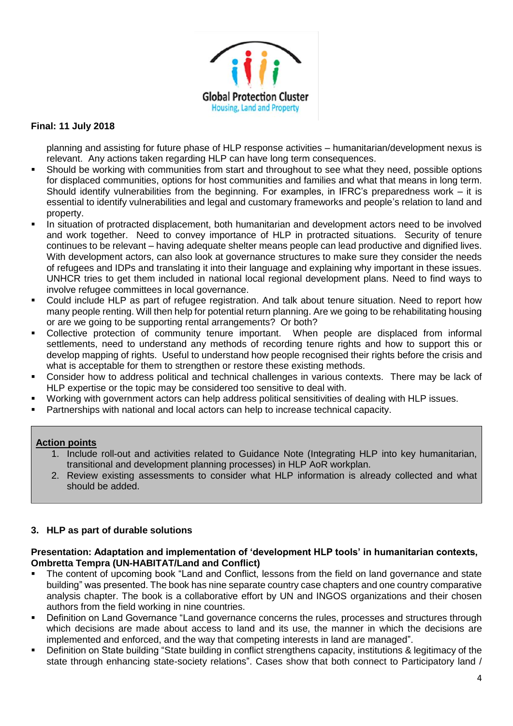

planning and assisting for future phase of HLP response activities – humanitarian/development nexus is relevant. Any actions taken regarding HLP can have long term consequences.

- Should be working with communities from start and throughout to see what they need, possible options for displaced communities, options for host communities and families and what that means in long term. Should identify vulnerabilities from the beginning. For examples, in IFRC's preparedness work – it is essential to identify vulnerabilities and legal and customary frameworks and people's relation to land and property.
- In situation of protracted displacement, both humanitarian and development actors need to be involved and work together. Need to convey importance of HLP in protracted situations. Security of tenure continues to be relevant – having adequate shelter means people can lead productive and dignified lives. With development actors, can also look at governance structures to make sure they consider the needs of refugees and IDPs and translating it into their language and explaining why important in these issues. UNHCR tries to get them included in national local regional development plans. Need to find ways to involve refugee committees in local governance.
- Could include HLP as part of refugee registration. And talk about tenure situation. Need to report how many people renting. Will then help for potential return planning. Are we going to be rehabilitating housing or are we going to be supporting rental arrangements? Or both?
- Collective protection of community tenure important. When people are displaced from informal settlements, need to understand any methods of recording tenure rights and how to support this or develop mapping of rights. Useful to understand how people recognised their rights before the crisis and what is acceptable for them to strengthen or restore these existing methods.
- Consider how to address political and technical challenges in various contexts. There may be lack of HLP expertise or the topic may be considered too sensitive to deal with.
- Working with government actors can help address political sensitivities of dealing with HLP issues.
- Partnerships with national and local actors can help to increase technical capacity.

## <span id="page-3-0"></span>**Action points**

- 1. Include roll-out and activities related to Guidance Note (Integrating HLP into key humanitarian, transitional and development planning processes) in HLP AoR workplan.
- <span id="page-3-1"></span>2. Review existing assessments to consider what HLP information is already collected and what should be added.

## **3. HLP as part of durable solutions**

#### **Presentation: Adaptation and implementation of 'development HLP tools' in humanitarian contexts, Ombretta Tempra (UN-HABITAT/Land and Conflict)**

- The content of upcoming book "Land and Conflict, lessons from the field on land governance and state building" was presented. The book has nine separate country case chapters and one country comparative analysis chapter. The book is a collaborative effort by UN and INGOS organizations and their chosen authors from the field working in nine countries.
- Definition on Land Governance "Land governance concerns the rules, processes and structures through which decisions are made about access to land and its use, the manner in which the decisions are implemented and enforced, and the way that competing interests in land are managed".
- Definition on State building "State building in conflict strengthens capacity, institutions & legitimacy of the state through enhancing state-society relations". Cases show that both connect to Participatory land /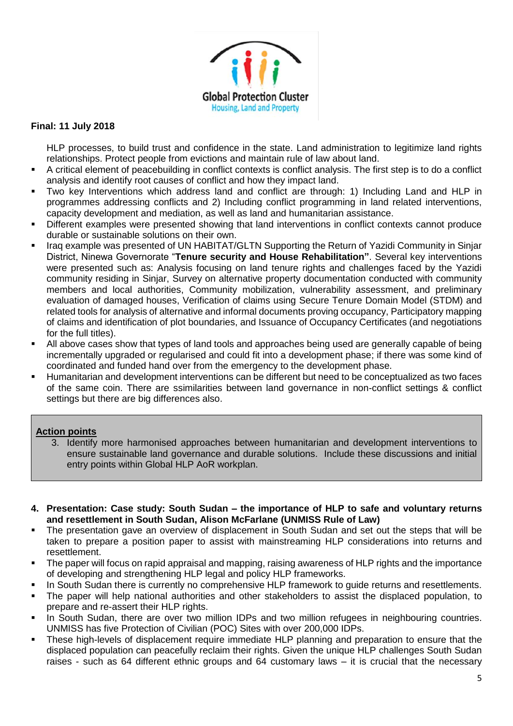

HLP processes, to build trust and confidence in the state. Land administration to legitimize land rights relationships. Protect people from evictions and maintain rule of law about land.

- A critical element of peacebuilding in conflict contexts is conflict analysis. The first step is to do a conflict analysis and identify root causes of conflict and how they impact land.
- Two key Interventions which address land and conflict are through: 1) Including Land and HLP in programmes addressing conflicts and 2) Including conflict programming in land related interventions, capacity development and mediation, as well as land and humanitarian assistance.
- Different examples were presented showing that land interventions in conflict contexts cannot produce durable or sustainable solutions on their own.
- Iraq example was presented of UN HABITAT/GLTN Supporting the Return of Yazidi Community in Sinjar District, Ninewa Governorate "**Tenure security and House Rehabilitation"**. Several key interventions were presented such as: Analysis focusing on land tenure rights and challenges faced by the Yazidi community residing in Sinjar, Survey on alternative property documentation conducted with community members and local authorities, Community mobilization, vulnerability assessment, and preliminary evaluation of damaged houses, Verification of claims using Secure Tenure Domain Model (STDM) and related tools for analysis of alternative and informal documents proving occupancy, Participatory mapping of claims and identification of plot boundaries, and Issuance of Occupancy Certificates (and negotiations for the full titles).
- All above cases show that types of land tools and approaches being used are generally capable of being incrementally upgraded or regularised and could fit into a development phase; if there was some kind of coordinated and funded hand over from the emergency to the development phase.
- Humanitarian and development interventions can be different but need to be conceptualized as two faces of the same coin. There are ssimilarities between land governance in non-conflict settings & conflict settings but there are big differences also.

### <span id="page-4-0"></span>**Action points**

- 3. Identify more harmonised approaches between humanitarian and development interventions to ensure sustainable land governance and durable solutions. Include these discussions and initial entry points within Global HLP AoR workplan.
- **4. Presentation: Case study: South Sudan – the importance of HLP to safe and voluntary returns and resettlement in South Sudan, Alison McFarlane (UNMISS Rule of Law)**
- The presentation gave an overview of displacement in South Sudan and set out the steps that will be taken to prepare a position paper to assist with mainstreaming HLP considerations into returns and resettlement.
- The paper will focus on rapid appraisal and mapping, raising awareness of HLP rights and the importance of developing and strengthening HLP legal and policy HLP frameworks.
- In South Sudan there is currently no comprehensive HLP framework to quide returns and resettlements.
- The paper will help national authorities and other stakeholders to assist the displaced population, to prepare and re-assert their HLP rights.
- In South Sudan, there are over two million IDPs and two million refugees in neighbouring countries. UNMISS has five Protection of Civilian (POC) Sites with over 200,000 IDPs.
- These high-levels of displacement require immediate HLP planning and preparation to ensure that the displaced population can peacefully reclaim their rights. Given the unique HLP challenges South Sudan raises - such as 64 different ethnic groups and 64 customary laws – it is crucial that the necessary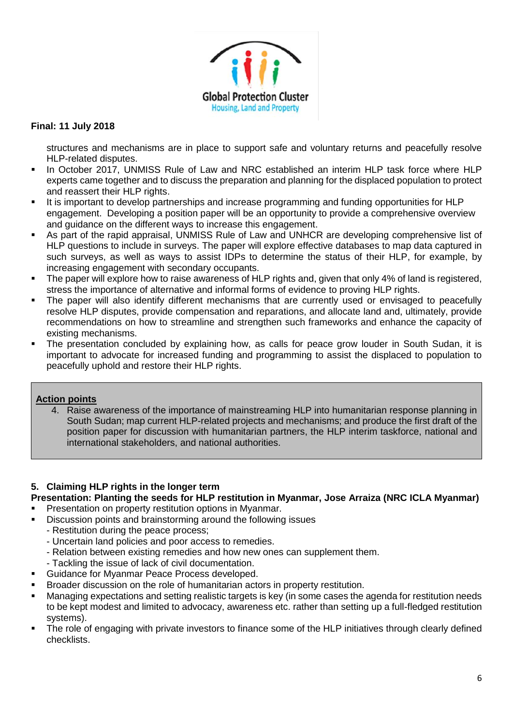

structures and mechanisms are in place to support safe and voluntary returns and peacefully resolve HLP-related disputes.

- In October 2017, UNMISS Rule of Law and NRC established an interim HLP task force where HLP experts came together and to discuss the preparation and planning for the displaced population to protect and reassert their HLP rights.
- It is important to develop partnerships and increase programming and funding opportunities for HLP engagement. Developing a position paper will be an opportunity to provide a comprehensive overview and guidance on the different ways to increase this engagement.
- As part of the rapid appraisal, UNMISS Rule of Law and UNHCR are developing comprehensive list of HLP questions to include in surveys. The paper will explore effective databases to map data captured in such surveys, as well as ways to assist IDPs to determine the status of their HLP, for example, by increasing engagement with secondary occupants.
- The paper will explore how to raise awareness of HLP rights and, given that only 4% of land is registered, stress the importance of alternative and informal forms of evidence to proving HLP rights.
- The paper will also identify different mechanisms that are currently used or envisaged to peacefully resolve HLP disputes, provide compensation and reparations, and allocate land and, ultimately, provide recommendations on how to streamline and strengthen such frameworks and enhance the capacity of existing mechanisms.
- The presentation concluded by explaining how, as calls for peace grow louder in South Sudan, it is important to advocate for increased funding and programming to assist the displaced to population to peacefully uphold and restore their HLP rights.

## <span id="page-5-0"></span>**Action points**

4. Raise awareness of the importance of mainstreaming HLP into humanitarian response planning in South Sudan; map current HLP-related projects and mechanisms; and produce the first draft of the position paper for discussion with humanitarian partners, the HLP interim taskforce, national and international stakeholders, and national authorities.

## **5. Claiming HLP rights in the longer term**

# **Presentation: Planting the seeds for HLP restitution in Myanmar, Jose Arraiza (NRC ICLA Myanmar)**

- Presentation on property restitution options in Myanmar.
- Discussion points and brainstorming around the following issues
	- Restitution during the peace process;
	- Uncertain land policies and poor access to remedies.
	- Relation between existing remedies and how new ones can supplement them.
	- Tackling the issue of lack of civil documentation.
- Guidance for Myanmar Peace Process developed.
- Broader discussion on the role of humanitarian actors in property restitution.
- Managing expectations and setting realistic targets is key (in some cases the agenda for restitution needs to be kept modest and limited to advocacy, awareness etc. rather than setting up a full-fledged restitution systems).
- The role of engaging with private investors to finance some of the HLP initiatives through clearly defined checklists.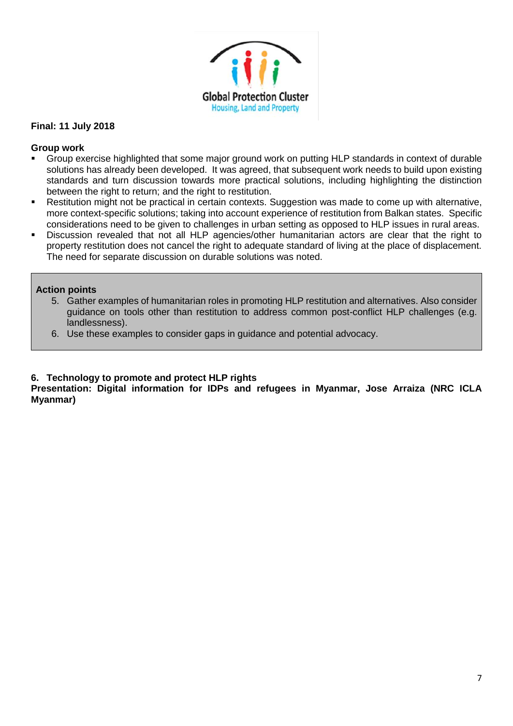

### **Group work**

- Group exercise highlighted that some major ground work on putting HLP standards in context of durable solutions has already been developed. It was agreed, that subsequent work needs to build upon existing standards and turn discussion towards more practical solutions, including highlighting the distinction between the right to return; and the right to restitution.
- Restitution might not be practical in certain contexts. Suggestion was made to come up with alternative, more context-specific solutions; taking into account experience of restitution from Balkan states. Specific considerations need to be given to challenges in urban setting as opposed to HLP issues in rural areas.
- Discussion revealed that not all HLP agencies/other humanitarian actors are clear that the right to property restitution does not cancel the right to adequate standard of living at the place of displacement. The need for separate discussion on durable solutions was noted.

### <span id="page-6-0"></span>**Action points**

- 5. Gather examples of humanitarian roles in promoting HLP restitution and alternatives. Also consider guidance on tools other than restitution to address common post-conflict HLP challenges (e.g. landlessness).
- <span id="page-6-1"></span>6. Use these examples to consider gaps in guidance and potential advocacy.

### **6. Technology to promote and protect HLP rights**

**Presentation: Digital information for IDPs and refugees in Myanmar, Jose Arraiza (NRC ICLA Myanmar)**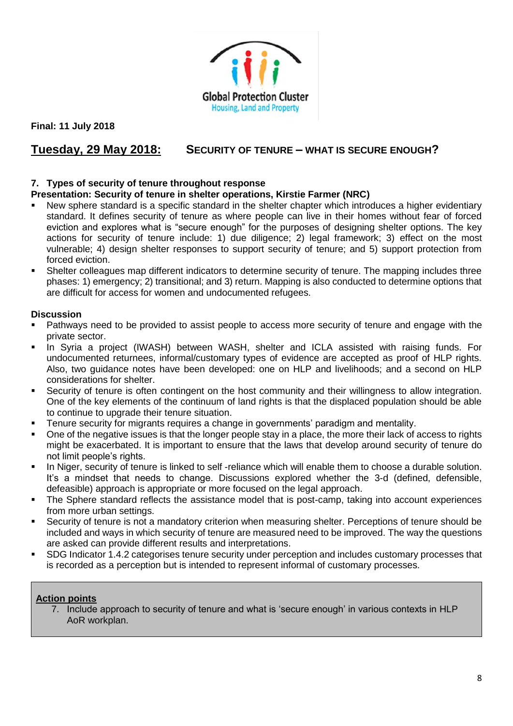

# **Tuesday, 29 May 2018: SECURITY OF TENURE – WHAT IS SECURE ENOUGH?**

### **7. Types of security of tenure throughout response**

### **Presentation: Security of tenure in shelter operations, Kirstie Farmer (NRC)**

- New sphere standard is a specific standard in the shelter chapter which introduces a higher evidentiary standard. It defines security of tenure as where people can live in their homes without fear of forced eviction and explores what is "secure enough" for the purposes of designing shelter options. The key actions for security of tenure include: 1) due diligence; 2) legal framework; 3) effect on the most vulnerable; 4) design shelter responses to support security of tenure; and 5) support protection from forced eviction.
- Shelter colleagues map different indicators to determine security of tenure. The mapping includes three phases: 1) emergency; 2) transitional; and 3) return. Mapping is also conducted to determine options that are difficult for access for women and undocumented refugees.

### **Discussion**

- Pathways need to be provided to assist people to access more security of tenure and engage with the private sector.
- In Syria a project (IWASH) between WASH, shelter and ICLA assisted with raising funds. For undocumented returnees, informal/customary types of evidence are accepted as proof of HLP rights. Also, two guidance notes have been developed: one on HLP and livelihoods; and a second on HLP considerations for shelter.
- Security of tenure is often contingent on the host community and their willingness to allow integration. One of the key elements of the continuum of land rights is that the displaced population should be able to continue to upgrade their tenure situation.
- Tenure security for migrants requires a change in governments' paradigm and mentality.
- One of the negative issues is that the longer people stay in a place, the more their lack of access to rights might be exacerbated. It is important to ensure that the laws that develop around security of tenure do not limit people's rights.
- In Niger, security of tenure is linked to self-reliance which will enable them to choose a durable solution. It's a mindset that needs to change. Discussions explored whether the 3-d (defined, defensible, defeasible) approach is appropriate or more focused on the legal approach.
- The Sphere standard reflects the assistance model that is post-camp, taking into account experiences from more urban settings.
- Security of tenure is not a mandatory criterion when measuring shelter. Perceptions of tenure should be included and ways in which security of tenure are measured need to be improved. The way the questions are asked can provide different results and interpretations.
- SDG Indicator 1.4.2 categorises tenure security under perception and includes customary processes that is recorded as a perception but is intended to represent informal of customary processes.

## <span id="page-7-0"></span>**Action points**

7. Include approach to security of tenure and what is 'secure enough' in various contexts in HLP AoR workplan.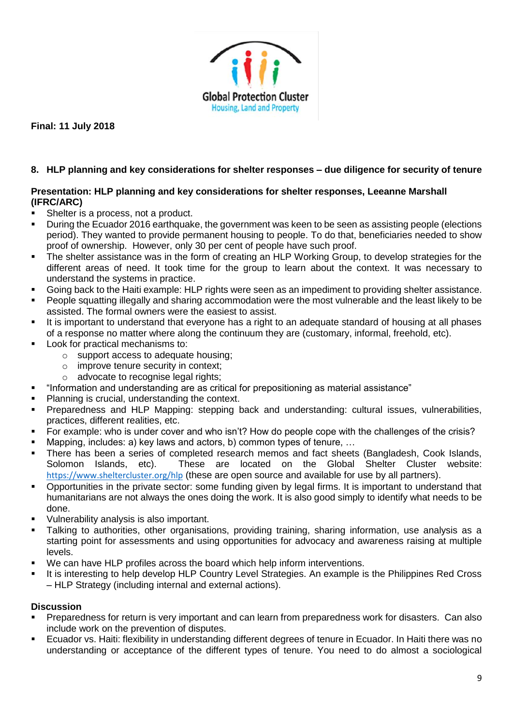

## **8. HLP planning and key considerations for shelter responses – due diligence for security of tenure**

### **Presentation: HLP planning and key considerations for shelter responses, Leeanne Marshall (IFRC/ARC)**

- Shelter is a process, not a product.
- During the Ecuador 2016 earthquake, the government was keen to be seen as assisting people (elections period). They wanted to provide permanent housing to people. To do that, beneficiaries needed to show proof of ownership. However, only 30 per cent of people have such proof.
- The shelter assistance was in the form of creating an HLP Working Group, to develop strategies for the different areas of need. It took time for the group to learn about the context. It was necessary to understand the systems in practice.
- Going back to the Haiti example: HLP rights were seen as an impediment to providing shelter assistance.
- People squatting illegally and sharing accommodation were the most vulnerable and the least likely to be assisted. The formal owners were the easiest to assist.
- It is important to understand that everyone has a right to an adequate standard of housing at all phases of a response no matter where along the continuum they are (customary, informal, freehold, etc).
- Look for practical mechanisms to:
	- o support access to adequate housing;
	- o improve tenure security in context;
	- o advocate to recognise legal rights;
- "Information and understanding are as critical for prepositioning as material assistance"
- Planning is crucial, understanding the context.
- Preparedness and HLP Mapping: stepping back and understanding: cultural issues, vulnerabilities, practices, different realities, etc.
- For example: who is under cover and who isn't? How do people cope with the challenges of the crisis?
- Mapping, includes: a) key laws and actors, b) common types of tenure,  $\dots$
- There has been a series of completed research memos and fact sheets (Bangladesh, Cook Islands, Solomon Islands, etc). These are located on the Global Shelter Cluster website: <https://www.sheltercluster.org/hlp> (these are open source and available for use by all partners).
- Opportunities in the private sector: some funding given by legal firms. It is important to understand that humanitarians are not always the ones doing the work. It is also good simply to identify what needs to be done.
- Vulnerability analysis is also important.
- Talking to authorities, other organisations, providing training, sharing information, use analysis as a starting point for assessments and using opportunities for advocacy and awareness raising at multiple levels.
- We can have HLP profiles across the board which help inform interventions.
- It is interesting to help develop HLP Country Level Strategies. An example is the Philippines Red Cross – HLP Strategy (including internal and external actions).

### **Discussion**

- Preparedness for return is very important and can learn from preparedness work for disasters. Can also include work on the prevention of disputes.
- Ecuador vs. Haiti: flexibility in understanding different degrees of tenure in Ecuador. In Haiti there was no understanding or acceptance of the different types of tenure. You need to do almost a sociological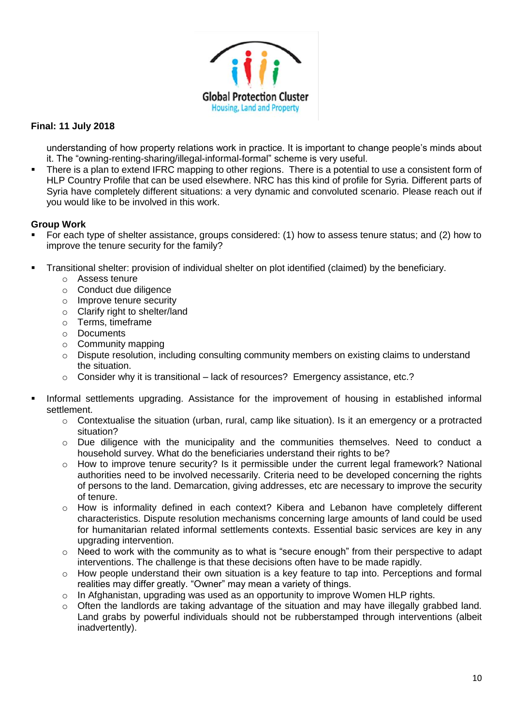

understanding of how property relations work in practice. It is important to change people's minds about it. The "owning-renting-sharing/illegal-informal-formal" scheme is very useful.

■ There is a plan to extend IFRC mapping to other regions. There is a potential to use a consistent form of HLP Country Profile that can be used elsewhere. NRC has this kind of profile for Syria. Different parts of Syria have completely different situations: a very dynamic and convoluted scenario. Please reach out if you would like to be involved in this work.

### **Group Work**

- For each type of shelter assistance, groups considered: (1) how to assess tenure status; and (2) how to improve the tenure security for the family?
- Transitional shelter: provision of individual shelter on plot identified (claimed) by the beneficiary.
	- o Assess tenure
	- o Conduct due diligence
	- o Improve tenure security
	- o Clarify right to shelter/land
	- o Terms, timeframe
	- o Documents
	- o Community mapping
	- o Dispute resolution, including consulting community members on existing claims to understand the situation.
	- $\circ$  Consider why it is transitional lack of resources? Emergency assistance, etc.?
- Informal settlements upgrading. Assistance for the improvement of housing in established informal settlement.
	- $\circ$  Contextualise the situation (urban, rural, camp like situation). Is it an emergency or a protracted situation?
	- $\circ$  Due diligence with the municipality and the communities themselves. Need to conduct a household survey. What do the beneficiaries understand their rights to be?
	- $\circ$  How to improve tenure security? Is it permissible under the current legal framework? National authorities need to be involved necessarily. Criteria need to be developed concerning the rights of persons to the land. Demarcation, giving addresses, etc are necessary to improve the security of tenure.
	- o How is informality defined in each context? Kibera and Lebanon have completely different characteristics. Dispute resolution mechanisms concerning large amounts of land could be used for humanitarian related informal settlements contexts. Essential basic services are key in any upgrading intervention.
	- o Need to work with the community as to what is "secure enough" from their perspective to adapt interventions. The challenge is that these decisions often have to be made rapidly.
	- $\circ$  How people understand their own situation is a key feature to tap into. Perceptions and formal realities may differ greatly. "Owner" may mean a variety of things.
	- o In Afghanistan, upgrading was used as an opportunity to improve Women HLP rights.
	- o Often the landlords are taking advantage of the situation and may have illegally grabbed land. Land grabs by powerful individuals should not be rubberstamped through interventions (albeit inadvertently).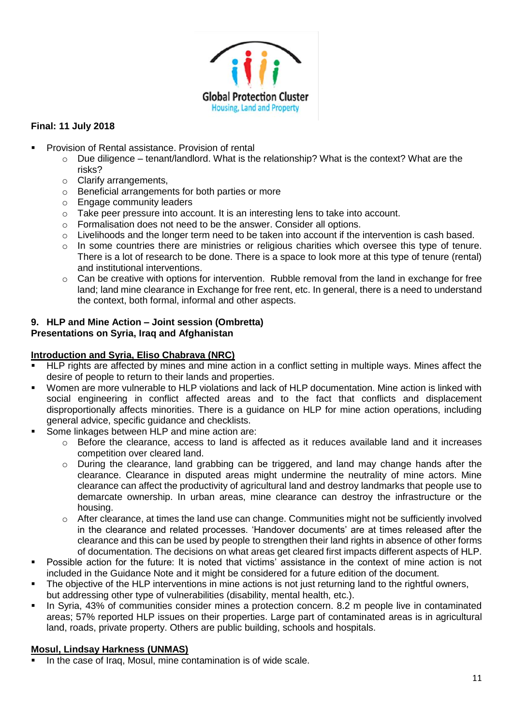

- Provision of Rental assistance. Provision of rental
	- $\circ$  Due diligence tenant/landlord. What is the relationship? What is the context? What are the risks?
	- o Clarify arrangements,
	- o Beneficial arrangements for both parties or more
	- o Engage community leaders
	- o Take peer pressure into account. It is an interesting lens to take into account.
	- o Formalisation does not need to be the answer. Consider all options.
	- $\circ$  Livelihoods and the longer term need to be taken into account if the intervention is cash based.
	- o In some countries there are ministries or religious charities which oversee this type of tenure. There is a lot of research to be done. There is a space to look more at this type of tenure (rental) and institutional interventions.
	- $\circ$  Can be creative with options for intervention. Rubble removal from the land in exchange for free land; land mine clearance in Exchange for free rent, etc. In general, there is a need to understand the context, both formal, informal and other aspects.

# **9. HLP and Mine Action – Joint session (Ombretta)**

# **Presentations on Syria, Iraq and Afghanistan**

### **Introduction and Syria, Eliso Chabrava (NRC)**

- HLP rights are affected by mines and mine action in a conflict setting in multiple ways. Mines affect the desire of people to return to their lands and properties.
- Women are more vulnerable to HLP violations and lack of HLP documentation. Mine action is linked with social engineering in conflict affected areas and to the fact that conflicts and displacement disproportionally affects minorities. There is a guidance on HLP for mine action operations, including general advice, specific guidance and checklists.
- Some linkages between HLP and mine action are:
	- $\circ$  Before the clearance, access to land is affected as it reduces available land and it increases competition over cleared land.
	- $\circ$  During the clearance, land grabbing can be triggered, and land may change hands after the clearance. Clearance in disputed areas might undermine the neutrality of mine actors. Mine clearance can affect the productivity of agricultural land and destroy landmarks that people use to demarcate ownership. In urban areas, mine clearance can destroy the infrastructure or the housing.
	- o After clearance, at times the land use can change. Communities might not be sufficiently involved in the clearance and related processes. 'Handover documents' are at times released after the clearance and this can be used by people to strengthen their land rights in absence of other forms of documentation. The decisions on what areas get cleared first impacts different aspects of HLP.
- Possible action for the future: It is noted that victims' assistance in the context of mine action is not included in the Guidance Note and it might be considered for a future edition of the document.
- The objective of the HLP interventions in mine actions is not just returning land to the rightful owners, but addressing other type of vulnerabilities (disability, mental health, etc.).
- In Syria, 43% of communities consider mines a protection concern. 8.2 m people live in contaminated areas; 57% reported HLP issues on their properties. Large part of contaminated areas is in agricultural land, roads, private property. Others are public building, schools and hospitals.

## **Mosul, Lindsay Harkness (UNMAS)**

In the case of Iraq, Mosul, mine contamination is of wide scale.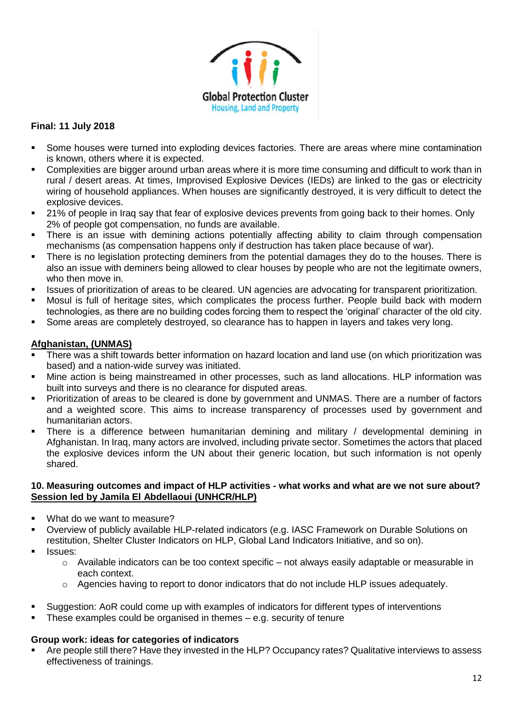

- Some houses were turned into exploding devices factories. There are areas where mine contamination is known, others where it is expected.
- Complexities are bigger around urban areas where it is more time consuming and difficult to work than in rural / desert areas. At times, Improvised Explosive Devices (IEDs) are linked to the gas or electricity wiring of household appliances. When houses are significantly destroyed, it is very difficult to detect the explosive devices.
- 21% of people in Iraq say that fear of explosive devices prevents from going back to their homes. Only 2% of people got compensation, no funds are available.
- There is an issue with demining actions potentially affecting ability to claim through compensation mechanisms (as compensation happens only if destruction has taken place because of war).
- There is no legislation protecting deminers from the potential damages they do to the houses. There is also an issue with deminers being allowed to clear houses by people who are not the legitimate owners, who then move in.
- Issues of prioritization of areas to be cleared. UN agencies are advocating for transparent prioritization.
- Mosul is full of heritage sites, which complicates the process further. People build back with modern technologies, as there are no building codes forcing them to respect the 'original' character of the old city.
- Some areas are completely destroyed, so clearance has to happen in layers and takes very long.

## **Afghanistan, (UNMAS)**

- There was a shift towards better information on hazard location and land use (on which prioritization was based) and a nation-wide survey was initiated.
- Mine action is being mainstreamed in other processes, such as land allocations. HLP information was built into surveys and there is no clearance for disputed areas.
- Prioritization of areas to be cleared is done by government and UNMAS. There are a number of factors and a weighted score. This aims to increase transparency of processes used by government and humanitarian actors.
- There is a difference between humanitarian demining and military / developmental demining in Afghanistan. In Iraq, many actors are involved, including private sector. Sometimes the actors that placed the explosive devices inform the UN about their generic location, but such information is not openly shared.

#### **10. Measuring outcomes and impact of HLP activities - what works and what are we not sure about? Session led by Jamila El Abdellaoui (UNHCR/HLP)**

- What do we want to measure?
- Overview of publicly available HLP-related indicators (e.g. IASC Framework on Durable Solutions on restitution, Shelter Cluster Indicators on HLP, Global Land Indicators Initiative, and so on).
- Issues:
	- o Available indicators can be too context specific not always easily adaptable or measurable in each context.
	- $\circ$  Agencies having to report to donor indicators that do not include HLP issues adequately.
- Suggestion: AoR could come up with examples of indicators for different types of interventions
- These examples could be organised in themes  $-$  e.g. security of tenure

### **Group work: ideas for categories of indicators**

Are people still there? Have they invested in the HLP? Occupancy rates? Qualitative interviews to assess effectiveness of trainings.